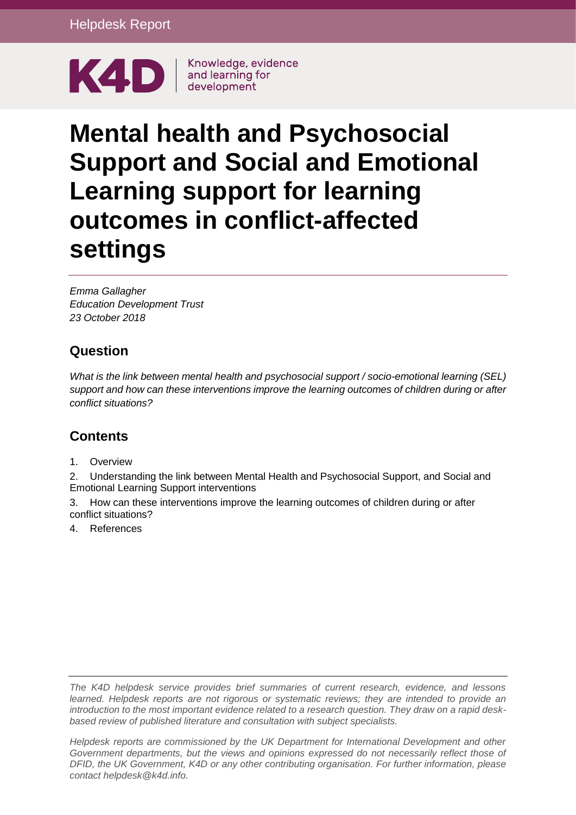

# **Mental health and Psychosocial Support and Social and Emotional Learning support for learning outcomes in conflict-affected settings**

*Emma Gallagher Education Development Trust 23 October 2018*

# **Question**

*What is the link between mental health and psychosocial support / socio-emotional learning (SEL) support and how can these interventions improve the learning outcomes of children during or after conflict situations?* 

# **Contents**

1. [Overview](#page-1-0)

2. [Understanding the link between Mental Health and Psychosocial Support, and Social and](#page-2-0)  [Emotional Learning Support interventions](#page-2-0)

3. [How can these interventions improve the learning outcomes of children during or after](#page-4-0)  [conflict situations?](#page-4-0)

4. [References](#page-8-0)

*The K4D helpdesk service provides brief summaries of current research, evidence, and lessons learned. Helpdesk reports are not rigorous or systematic reviews; they are intended to provide an introduction to the most important evidence related to a research question. They draw on a rapid deskbased review of published literature and consultation with subject specialists.* 

*Helpdesk reports are commissioned by the UK Department for International Development and other*  Government departments, but the views and opinions expressed do not necessarily reflect those of *DFID, the UK Government, K4D or any other contributing organisation. For further information, please contact helpdesk@k4d.info.*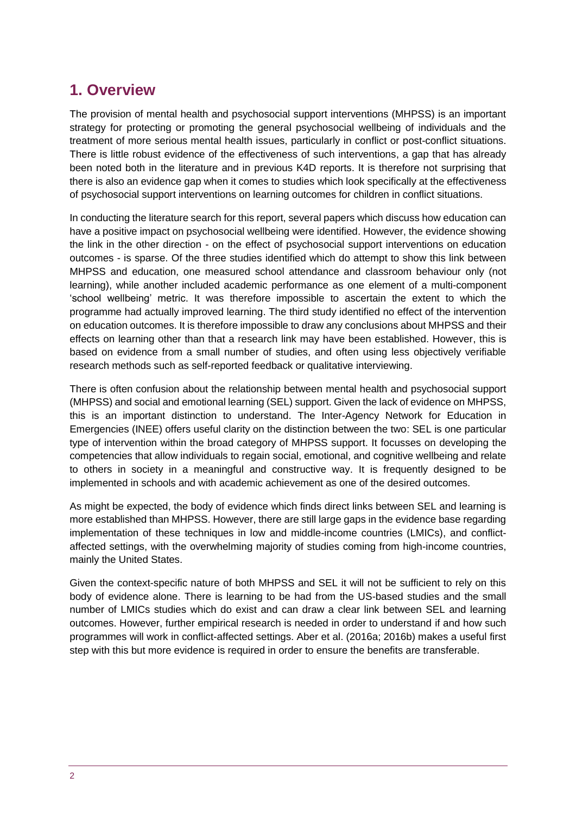# <span id="page-1-0"></span>**1. Overview**

The provision of mental health and psychosocial support interventions (MHPSS) is an important strategy for protecting or promoting the general psychosocial wellbeing of individuals and the treatment of more serious mental health issues, particularly in conflict or post-conflict situations. There is little robust evidence of the effectiveness of such interventions, a gap that has already been noted both in the literature and in previous K4D reports. It is therefore not surprising that there is also an evidence gap when it comes to studies which look specifically at the effectiveness of psychosocial support interventions on learning outcomes for children in conflict situations.

In conducting the literature search for this report, several papers which discuss how education can have a positive impact on psychosocial wellbeing were identified. However, the evidence showing the link in the other direction - on the effect of psychosocial support interventions on education outcomes - is sparse. Of the three studies identified which do attempt to show this link between MHPSS and education, one measured school attendance and classroom behaviour only (not learning), while another included academic performance as one element of a multi-component 'school wellbeing' metric. It was therefore impossible to ascertain the extent to which the programme had actually improved learning. The third study identified no effect of the intervention on education outcomes. It is therefore impossible to draw any conclusions about MHPSS and their effects on learning other than that a research link may have been established. However, this is based on evidence from a small number of studies, and often using less objectively verifiable research methods such as self-reported feedback or qualitative interviewing.

There is often confusion about the relationship between mental health and psychosocial support (MHPSS) and social and emotional learning (SEL) support. Given the lack of evidence on MHPSS, this is an important distinction to understand. The Inter-Agency Network for Education in Emergencies (INEE) offers useful clarity on the distinction between the two: SEL is one particular type of intervention within the broad category of MHPSS support. It focusses on developing the competencies that allow individuals to regain social, emotional, and cognitive wellbeing and relate to others in society in a meaningful and constructive way. It is frequently designed to be implemented in schools and with academic achievement as one of the desired outcomes.

As might be expected, the body of evidence which finds direct links between SEL and learning is more established than MHPSS. However, there are still large gaps in the evidence base regarding implementation of these techniques in low and middle-income countries (LMICs), and conflictaffected settings, with the overwhelming majority of studies coming from high-income countries, mainly the United States.

Given the context-specific nature of both MHPSS and SEL it will not be sufficient to rely on this body of evidence alone. There is learning to be had from the US-based studies and the small number of LMICs studies which do exist and can draw a clear link between SEL and learning outcomes. However, further empirical research is needed in order to understand if and how such programmes will work in conflict-affected settings. Aber et al. (2016a; 2016b) makes a useful first step with this but more evidence is required in order to ensure the benefits are transferable.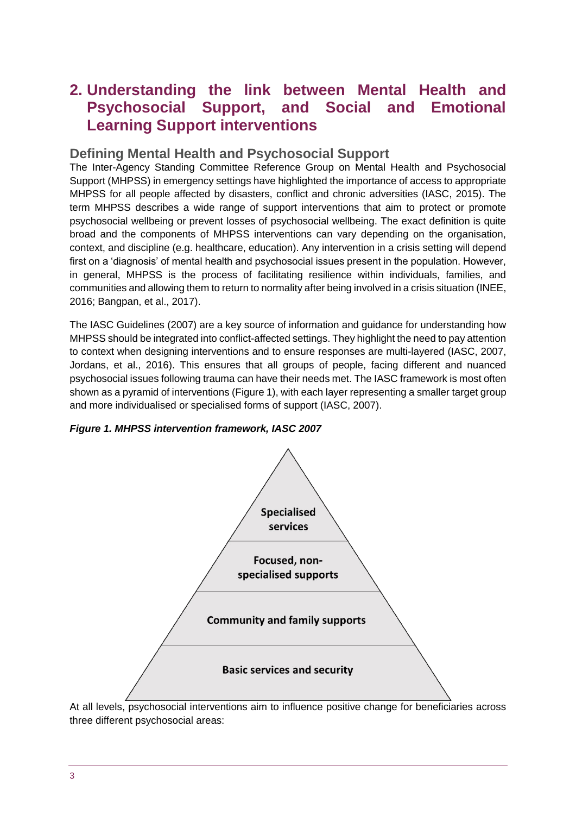# <span id="page-2-0"></span>**2. Understanding the link between Mental Health and Psychosocial Support, and Social and Emotional Learning Support interventions**

#### **Defining Mental Health and Psychosocial Support**

The Inter-Agency Standing Committee Reference Group on Mental Health and Psychosocial Support (MHPSS) in emergency settings have highlighted the importance of access to appropriate MHPSS for all people affected by disasters, conflict and chronic adversities (IASC, 2015). The term MHPSS describes a wide range of support interventions that aim to protect or promote psychosocial wellbeing or prevent losses of psychosocial wellbeing. The exact definition is quite broad and the components of MHPSS interventions can vary depending on the organisation, context, and discipline (e.g. healthcare, education). Any intervention in a crisis setting will depend first on a 'diagnosis' of mental health and psychosocial issues present in the population. However, in general, MHPSS is the process of facilitating resilience within individuals, families, and communities and allowing them to return to normality after being involved in a crisis situation (INEE, 2016; Bangpan, et al., 2017).

The IASC Guidelines (2007) are a key source of information and guidance for understanding how MHPSS should be integrated into conflict-affected settings. They highlight the need to pay attention to context when designing interventions and to ensure responses are multi-layered (IASC, 2007, Jordans, et al., 2016). This ensures that all groups of people, facing different and nuanced psychosocial issues following trauma can have their needs met. The IASC framework is most often shown as a pyramid of interventions (Figure 1), with each layer representing a smaller target group and more individualised or specialised forms of support (IASC, 2007).



#### *Figure 1. MHPSS intervention framework, IASC 2007*

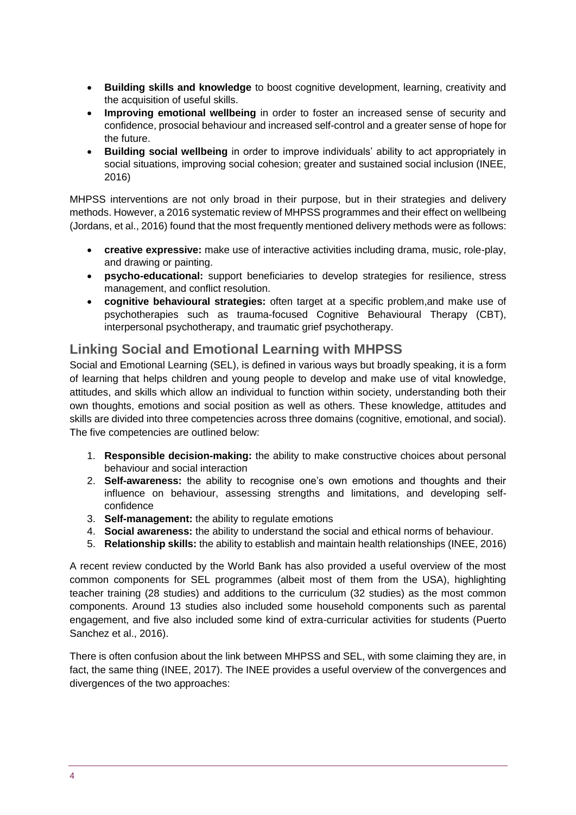- **Building skills and knowledge** to boost cognitive development, learning, creativity and the acquisition of useful skills.
- **Improving emotional wellbeing** in order to foster an increased sense of security and confidence, prosocial behaviour and increased self-control and a greater sense of hope for the future.
- **Building social wellbeing** in order to improve individuals' ability to act appropriately in social situations, improving social cohesion; greater and sustained social inclusion (INEE, 2016)

MHPSS interventions are not only broad in their purpose, but in their strategies and delivery methods. However, a 2016 systematic review of MHPSS programmes and their effect on wellbeing (Jordans, et al., 2016) found that the most frequently mentioned delivery methods were as follows:

- **creative expressive:** make use of interactive activities including drama, music, role-play, and drawing or painting.
- **psycho-educational:** support beneficiaries to develop strategies for resilience, stress management, and conflict resolution.
- **cognitive behavioural strategies:** often target at a specific problem,and make use of psychotherapies such as trauma-focused Cognitive Behavioural Therapy (CBT), interpersonal psychotherapy, and traumatic grief psychotherapy.

# **Linking Social and Emotional Learning with MHPSS**

Social and Emotional Learning (SEL), is defined in various ways but broadly speaking, it is a form of learning that helps children and young people to develop and make use of vital knowledge, attitudes, and skills which allow an individual to function within society, understanding both their own thoughts, emotions and social position as well as others. These knowledge, attitudes and skills are divided into three competencies across three domains (cognitive, emotional, and social). The five competencies are outlined below:

- 1. **Responsible decision-making:** the ability to make constructive choices about personal behaviour and social interaction
- 2. **Self-awareness:** the ability to recognise one's own emotions and thoughts and their influence on behaviour, assessing strengths and limitations, and developing selfconfidence
- 3. **Self-management:** the ability to regulate emotions
- 4. **Social awareness:** the ability to understand the social and ethical norms of behaviour.
- 5. **Relationship skills:** the ability to establish and maintain health relationships (INEE, 2016)

A recent review conducted by the World Bank has also provided a useful overview of the most common components for SEL programmes (albeit most of them from the USA), highlighting teacher training (28 studies) and additions to the curriculum (32 studies) as the most common components. Around 13 studies also included some household components such as parental engagement, and five also included some kind of extra-curricular activities for students (Puerto Sanchez et al., 2016).

There is often confusion about the link between MHPSS and SEL, with some claiming they are, in fact, the same thing (INEE, 2017). The INEE provides a useful overview of the convergences and divergences of the two approaches: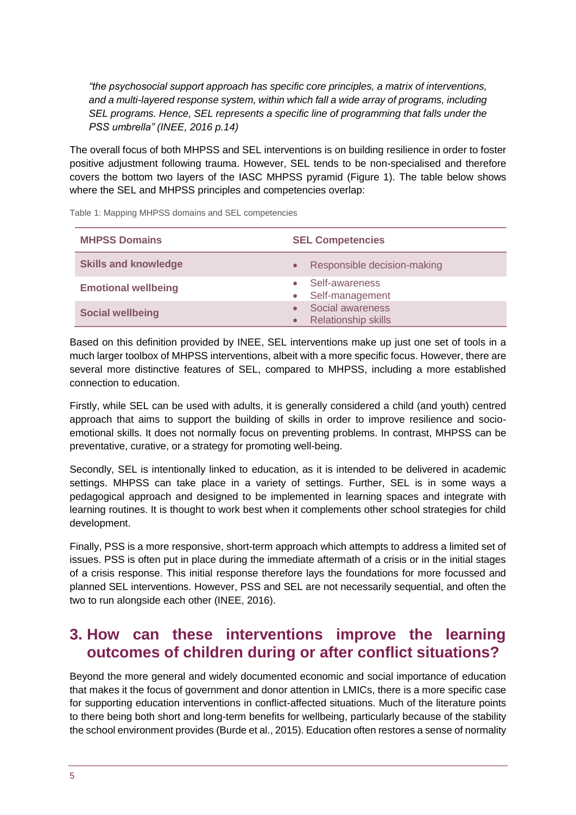*"the psychosocial support approach has specific core principles, a matrix of interventions, and a multi-layered response system, within which fall a wide array of programs, including SEL programs. Hence, SEL represents a specific line of programming that falls under the PSS umbrella" (INEE, 2016 p.14)*

The overall focus of both MHPSS and SEL interventions is on building resilience in order to foster positive adjustment following trauma. However, SEL tends to be non-specialised and therefore covers the bottom two layers of the IASC MHPSS pyramid (Figure 1). The table below shows where the SEL and MHPSS principles and competencies overlap:

| <b>MHPSS Domains</b>        | <b>SEL Competencies</b>                        |
|-----------------------------|------------------------------------------------|
| <b>Skills and knowledge</b> | Responsible decision-making                    |
| <b>Emotional wellbeing</b>  | Self-awareness<br>• Self-management            |
| <b>Social wellbeing</b>     | Social awareness<br><b>Relationship skills</b> |

Table 1: Mapping MHPSS domains and SEL competencies

Based on this definition provided by INEE, SEL interventions make up just one set of tools in a much larger toolbox of MHPSS interventions, albeit with a more specific focus. However, there are several more distinctive features of SEL, compared to MHPSS, including a more established connection to education.

Firstly, while SEL can be used with adults, it is generally considered a child (and youth) centred approach that aims to support the building of skills in order to improve resilience and socioemotional skills. It does not normally focus on preventing problems. In contrast, MHPSS can be preventative, curative, or a strategy for promoting well-being.

Secondly, SEL is intentionally linked to education, as it is intended to be delivered in academic settings. MHPSS can take place in a variety of settings. Further, SEL is in some ways a pedagogical approach and designed to be implemented in learning spaces and integrate with learning routines. It is thought to work best when it complements other school strategies for child development.

Finally, PSS is a more responsive, short-term approach which attempts to address a limited set of issues. PSS is often put in place during the immediate aftermath of a crisis or in the initial stages of a crisis response. This initial response therefore lays the foundations for more focussed and planned SEL interventions. However, PSS and SEL are not necessarily sequential, and often the two to run alongside each other (INEE, 2016).

# <span id="page-4-0"></span>**3. How can these interventions improve the learning outcomes of children during or after conflict situations?**

Beyond the more general and widely documented economic and social importance of education that makes it the focus of government and donor attention in LMICs, there is a more specific case for supporting education interventions in conflict-affected situations. Much of the literature points to there being both short and long-term benefits for wellbeing, particularly because of the stability the school environment provides (Burde et al., 2015). Education often restores a sense of normality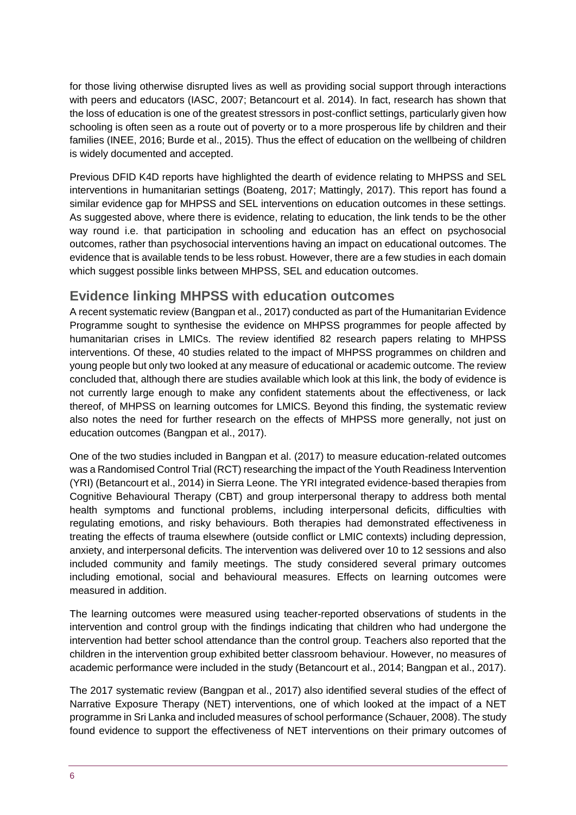for those living otherwise disrupted lives as well as providing social support through interactions with peers and educators (IASC, 2007; Betancourt et al. 2014). In fact, research has shown that the loss of education is one of the greatest stressors in post-conflict settings, particularly given how schooling is often seen as a route out of poverty or to a more prosperous life by children and their families (INEE, 2016; Burde et al., 2015). Thus the effect of education on the wellbeing of children is widely documented and accepted.

Previous DFID K4D reports have highlighted the dearth of evidence relating to MHPSS and SEL interventions in humanitarian settings (Boateng, 2017; Mattingly, 2017). This report has found a similar evidence gap for MHPSS and SEL interventions on education outcomes in these settings. As suggested above, where there is evidence, relating to education, the link tends to be the other way round i.e. that participation in schooling and education has an effect on psychosocial outcomes, rather than psychosocial interventions having an impact on educational outcomes. The evidence that is available tends to be less robust. However, there are a few studies in each domain which suggest possible links between MHPSS, SEL and education outcomes.

# **Evidence linking MHPSS with education outcomes**

A recent systematic review (Bangpan et al., 2017) conducted as part of the Humanitarian Evidence Programme sought to synthesise the evidence on MHPSS programmes for people affected by humanitarian crises in LMICs. The review identified 82 research papers relating to MHPSS interventions. Of these, 40 studies related to the impact of MHPSS programmes on children and young people but only two looked at any measure of educational or academic outcome. The review concluded that, although there are studies available which look at this link, the body of evidence is not currently large enough to make any confident statements about the effectiveness, or lack thereof, of MHPSS on learning outcomes for LMICS. Beyond this finding, the systematic review also notes the need for further research on the effects of MHPSS more generally, not just on education outcomes (Bangpan et al., 2017).

One of the two studies included in Bangpan et al. (2017) to measure education-related outcomes was a Randomised Control Trial (RCT) researching the impact of the Youth Readiness Intervention (YRI) (Betancourt et al., 2014) in Sierra Leone. The YRI integrated evidence-based therapies from Cognitive Behavioural Therapy (CBT) and group interpersonal therapy to address both mental health symptoms and functional problems, including interpersonal deficits, difficulties with regulating emotions, and risky behaviours. Both therapies had demonstrated effectiveness in treating the effects of trauma elsewhere (outside conflict or LMIC contexts) including depression, anxiety, and interpersonal deficits. The intervention was delivered over 10 to 12 sessions and also included community and family meetings. The study considered several primary outcomes including emotional, social and behavioural measures. Effects on learning outcomes were measured in addition.

The learning outcomes were measured using teacher-reported observations of students in the intervention and control group with the findings indicating that children who had undergone the intervention had better school attendance than the control group. Teachers also reported that the children in the intervention group exhibited better classroom behaviour. However, no measures of academic performance were included in the study (Betancourt et al., 2014; Bangpan et al., 2017).

The 2017 systematic review (Bangpan et al., 2017) also identified several studies of the effect of Narrative Exposure Therapy (NET) interventions, one of which looked at the impact of a NET programme in Sri Lanka and included measures of school performance (Schauer, 2008). The study found evidence to support the effectiveness of NET interventions on their primary outcomes of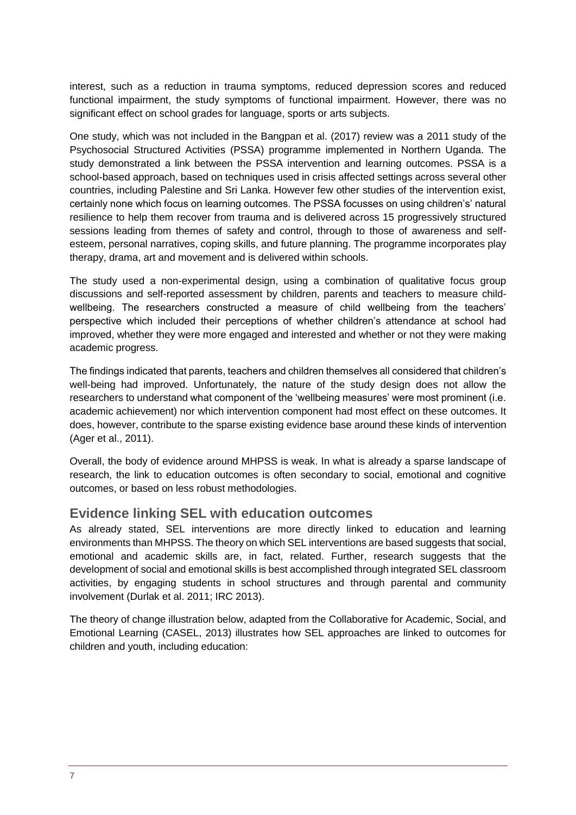interest, such as a reduction in trauma symptoms, reduced depression scores and reduced functional impairment, the study symptoms of functional impairment. However, there was no significant effect on school grades for language, sports or arts subjects.

One study, which was not included in the Bangpan et al. (2017) review was a 2011 study of the Psychosocial Structured Activities (PSSA) programme implemented in Northern Uganda. The study demonstrated a link between the PSSA intervention and learning outcomes. PSSA is a school-based approach, based on techniques used in crisis affected settings across several other countries, including Palestine and Sri Lanka. However few other studies of the intervention exist, certainly none which focus on learning outcomes. The PSSA focusses on using children's' natural resilience to help them recover from trauma and is delivered across 15 progressively structured sessions leading from themes of safety and control, through to those of awareness and selfesteem, personal narratives, coping skills, and future planning. The programme incorporates play therapy, drama, art and movement and is delivered within schools.

The study used a non-experimental design, using a combination of qualitative focus group discussions and self-reported assessment by children, parents and teachers to measure childwellbeing. The researchers constructed a measure of child wellbeing from the teachers' perspective which included their perceptions of whether children's attendance at school had improved, whether they were more engaged and interested and whether or not they were making academic progress.

The findings indicated that parents, teachers and children themselves all considered that children's well-being had improved. Unfortunately, the nature of the study design does not allow the researchers to understand what component of the 'wellbeing measures' were most prominent (i.e. academic achievement) nor which intervention component had most effect on these outcomes. It does, however, contribute to the sparse existing evidence base around these kinds of intervention (Ager et al., 2011).

Overall, the body of evidence around MHPSS is weak. In what is already a sparse landscape of research, the link to education outcomes is often secondary to social, emotional and cognitive outcomes, or based on less robust methodologies.

#### **Evidence linking SEL with education outcomes**

As already stated, SEL interventions are more directly linked to education and learning environments than MHPSS. The theory on which SEL interventions are based suggests that social, emotional and academic skills are, in fact, related. Further, research suggests that the development of social and emotional skills is best accomplished through integrated SEL classroom activities, by engaging students in school structures and through parental and community involvement (Durlak et al. 2011; IRC 2013).

The theory of change illustration below, adapted from the Collaborative for Academic, Social, and Emotional Learning (CASEL, 2013) illustrates how SEL approaches are linked to outcomes for children and youth, including education: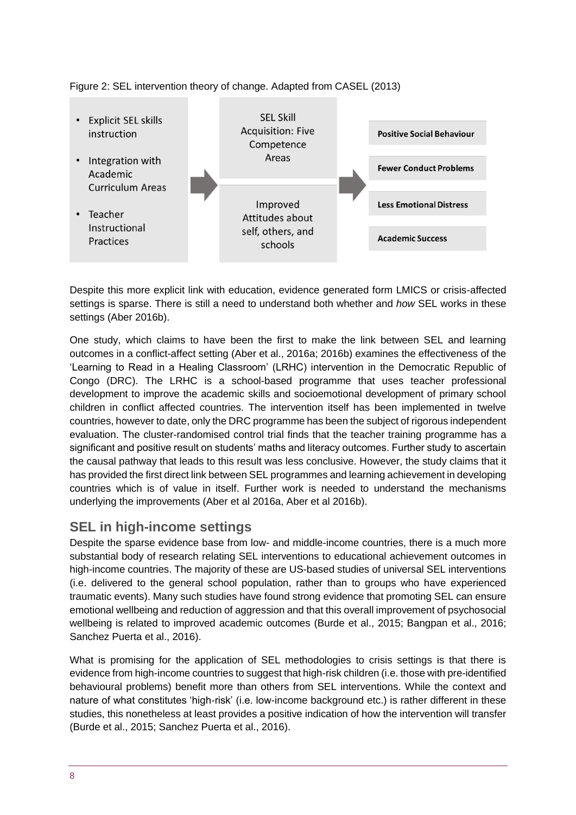

Figure 2: SEL intervention theory of change. Adapted from CASEL (2013)

Despite this more explicit link with education, evidence generated form LMICS or crisis-affected settings is sparse. There is still a need to understand both whether and *how* SEL works in these settings (Aber 2016b).

One study, which claims to have been the first to make the link between SEL and learning outcomes in a conflict-affect setting (Aber et al., 2016a; 2016b) examines the effectiveness of the 'Learning to Read in a Healing Classroom' (LRHC) intervention in the Democratic Republic of Congo (DRC). The LRHC is a school-based programme that uses teacher professional development to improve the academic skills and socioemotional development of primary school children in conflict affected countries. The intervention itself has been implemented in twelve countries, however to date, only the DRC programme has been the subject of rigorous independent evaluation. The cluster-randomised control trial finds that the teacher training programme has a significant and positive result on students' maths and literacy outcomes. Further study to ascertain the causal pathway that leads to this result was less conclusive. However, the study claims that it has provided the first direct link between SEL programmes and learning achievement in developing countries which is of value in itself. Further work is needed to understand the mechanisms underlying the improvements (Aber et al 2016a, Aber et al 2016b).

# **SEL in high-income settings**

Despite the sparse evidence base from low- and middle-income countries, there is a much more substantial body of research relating SEL interventions to educational achievement outcomes in high-income countries. The majority of these are US-based studies of universal SEL interventions (i.e. delivered to the general school population, rather than to groups who have experienced traumatic events). Many such studies have found strong evidence that promoting SEL can ensure emotional wellbeing and reduction of aggression and that this overall improvement of psychosocial wellbeing is related to improved academic outcomes (Burde et al., 2015; Bangpan et al., 2016; Sanchez Puerta et al., 2016).

What is promising for the application of SEL methodologies to crisis settings is that there is evidence from high-income countries to suggest that high-risk children (i.e. those with pre-identified behavioural problems) benefit more than others from SEL interventions. While the context and nature of what constitutes 'high-risk' (i.e. low-income background etc.) is rather different in these studies, this nonetheless at least provides a positive indication of how the intervention will transfer (Burde et al., 2015; Sanchez Puerta et al., 2016).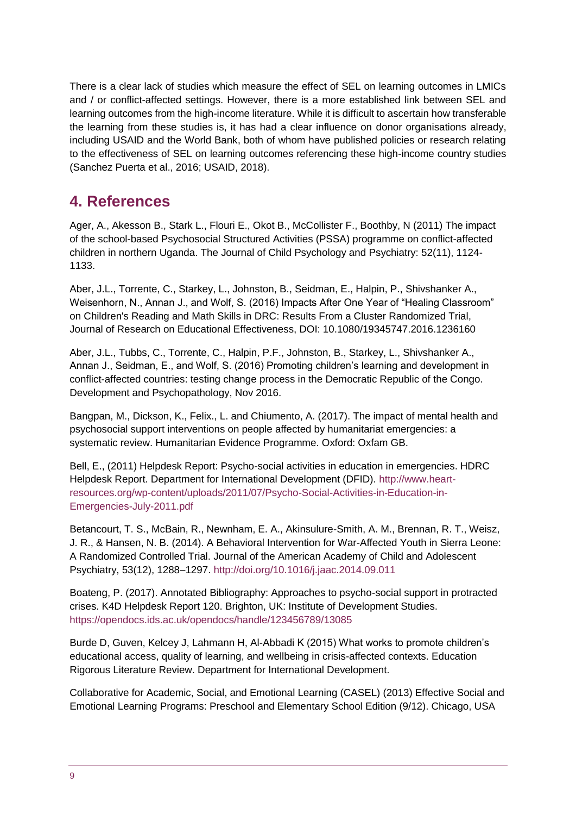There is a clear lack of studies which measure the effect of SEL on learning outcomes in LMICs and / or conflict-affected settings. However, there is a more established link between SEL and learning outcomes from the high-income literature. While it is difficult to ascertain how transferable the learning from these studies is, it has had a clear influence on donor organisations already, including USAID and the World Bank, both of whom have published policies or research relating to the effectiveness of SEL on learning outcomes referencing these high-income country studies (Sanchez Puerta et al., 2016; USAID, 2018).

# <span id="page-8-0"></span>**4. References**

Ager, A., Akesson B., Stark L., Flouri E., Okot B., McCollister F., Boothby, N (2011) The impact of the school-based Psychosocial Structured Activities (PSSA) programme on conflict-affected children in northern Uganda. The Journal of Child Psychology and Psychiatry: 52(11), 1124- 1133.

Aber, J.L., Torrente, C., Starkey, L., Johnston, B., Seidman, E., Halpin, P., Shivshanker A., Weisenhorn, N., Annan J., and Wolf, S. (2016) Impacts After One Year of "Healing Classroom" on Children's Reading and Math Skills in DRC: Results From a Cluster Randomized Trial, Journal of Research on Educational Effectiveness, DOI: 10.1080/19345747.2016.1236160

Aber, J.L., Tubbs, C., Torrente, C., Halpin, P.F., Johnston, B., Starkey, L., Shivshanker A., Annan J., Seidman, E., and Wolf, S. (2016) Promoting children's learning and development in conflict-affected countries: testing change process in the Democratic Republic of the Congo. Development and Psychopathology, Nov 2016.

Bangpan, M., Dickson, K., Felix., L. and Chiumento, A. (2017). The impact of mental health and psychosocial support interventions on people affected by humanitariat emergencies: a systematic review. Humanitarian Evidence Programme. Oxford: Oxfam GB.

Bell, E., (2011) Helpdesk Report: Psycho-social activities in education in emergencies. HDRC Helpdesk Report. Department for International Development (DFID). [http://www.heart](http://www.heart-resources.org/wp-content/uploads/2011/07/Psycho-Social-Activities-in-Education-in-Emergencies-July-2011.pdf)[resources.org/wp-content/uploads/2011/07/Psycho-Social-Activities-in-Education-in-](http://www.heart-resources.org/wp-content/uploads/2011/07/Psycho-Social-Activities-in-Education-in-Emergencies-July-2011.pdf)[Emergencies-July-2011.pdf](http://www.heart-resources.org/wp-content/uploads/2011/07/Psycho-Social-Activities-in-Education-in-Emergencies-July-2011.pdf)

Betancourt, T. S., McBain, R., Newnham, E. A., Akinsulure-Smith, A. M., Brennan, R. T., Weisz, J. R., & Hansen, N. B. (2014). A Behavioral Intervention for War-Affected Youth in Sierra Leone: A Randomized Controlled Trial. Journal of the American Academy of Child and Adolescent Psychiatry, 53(12), 1288–1297.<http://doi.org/10.1016/j.jaac.2014.09.011>

Boateng, P. (2017). Annotated Bibliography: Approaches to psycho-social support in protracted crises. K4D Helpdesk Report 120. Brighton, UK: Institute of Development Studies. <https://opendocs.ids.ac.uk/opendocs/handle/123456789/13085>

Burde D, Guven, Kelcey J, Lahmann H, Al-Abbadi K (2015) What works to promote children's educational access, quality of learning, and wellbeing in crisis-affected contexts. Education Rigorous Literature Review. Department for International Development.

Collaborative for Academic, Social, and Emotional Learning (CASEL) (2013) Effective Social and Emotional Learning Programs: Preschool and Elementary School Edition (9/12). Chicago, USA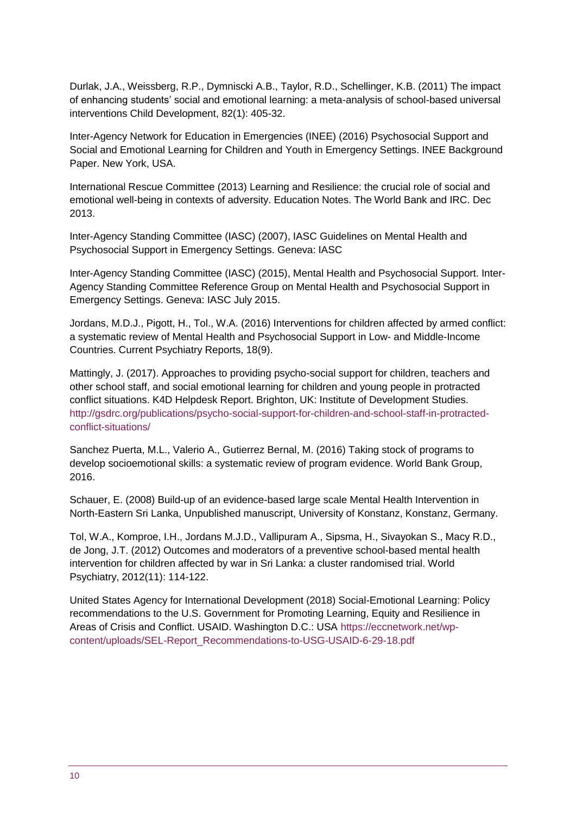Durlak, J.A., Weissberg, R.P., Dymniscki A.B., Taylor, R.D., Schellinger, K.B. (2011) The impact of enhancing students' social and emotional learning: a meta-analysis of school-based universal interventions Child Development, 82(1): 405-32.

Inter-Agency Network for Education in Emergencies (INEE) (2016) Psychosocial Support and Social and Emotional Learning for Children and Youth in Emergency Settings. INEE Background Paper. New York, USA.

International Rescue Committee (2013) Learning and Resilience: the crucial role of social and emotional well-being in contexts of adversity. Education Notes. The World Bank and IRC. Dec 2013.

Inter-Agency Standing Committee (IASC) (2007), IASC Guidelines on Mental Health and Psychosocial Support in Emergency Settings. Geneva: IASC

Inter-Agency Standing Committee (IASC) (2015), Mental Health and Psychosocial Support. Inter-Agency Standing Committee Reference Group on Mental Health and Psychosocial Support in Emergency Settings. Geneva: IASC July 2015.

Jordans, M.D.J., Pigott, H., Tol., W.A. (2016) Interventions for children affected by armed conflict: a systematic review of Mental Health and Psychosocial Support in Low- and Middle-Income Countries. Current Psychiatry Reports, 18(9).

Mattingly, J. (2017). Approaches to providing psycho-social support for children, teachers and other school staff, and social emotional learning for children and young people in protracted conflict situations. K4D Helpdesk Report. Brighton, UK: Institute of Development Studies. [http://gsdrc.org/publications/psycho-social-support-for-children-and-school-staff-in-protracted](http://gsdrc.org/publications/psycho-social-support-for-children-and-school-staff-in-protracted-conflict-situations/)[conflict-situations/](http://gsdrc.org/publications/psycho-social-support-for-children-and-school-staff-in-protracted-conflict-situations/)

Sanchez Puerta, M.L., Valerio A., Gutierrez Bernal, M. (2016) Taking stock of programs to develop socioemotional skills: a systematic review of program evidence. World Bank Group, 2016.

Schauer, E. (2008) Build-up of an evidence-based large scale Mental Health Intervention in North-Eastern Sri Lanka, Unpublished manuscript, University of Konstanz, Konstanz, Germany.

Tol, W.A., Komproe, I.H., Jordans M.J.D., Vallipuram A., Sipsma, H., Sivayokan S., Macy R.D., de Jong, J.T. (2012) Outcomes and moderators of a preventive school-based mental health intervention for children affected by war in Sri Lanka: a cluster randomised trial. World Psychiatry, 2012(11): 114-122.

United States Agency for International Development (2018) Social-Emotional Learning: Policy recommendations to the U.S. Government for Promoting Learning, Equity and Resilience in Areas of Crisis and Conflict. USAID. Washington D.C.: USA [https://eccnetwork.net/wp](https://eccnetwork.net/wp-content/uploads/SEL-Report_Recommendations-to-USG-USAID-6-29-18.pdf)[content/uploads/SEL-Report\\_Recommendations-to-USG-USAID-6-29-18.pdf](https://eccnetwork.net/wp-content/uploads/SEL-Report_Recommendations-to-USG-USAID-6-29-18.pdf)